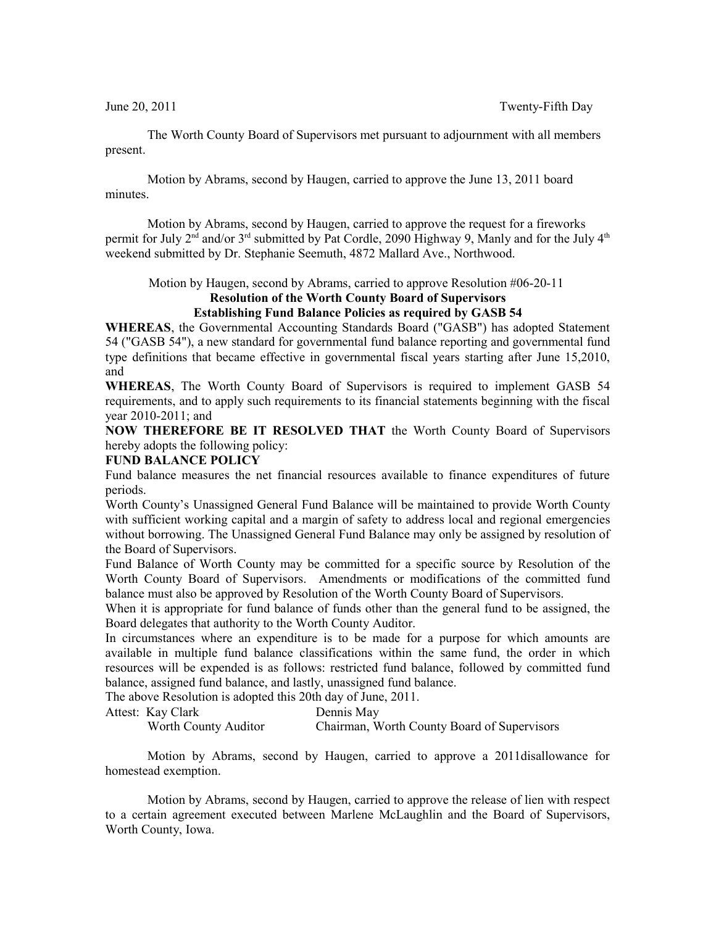The Worth County Board of Supervisors met pursuant to adjournment with all members present.

Motion by Abrams, second by Haugen, carried to approve the June 13, 2011 board minutes.

Motion by Abrams, second by Haugen, carried to approve the request for a fireworks permit for July 2<sup>nd</sup> and/or 3<sup>rd</sup> submitted by Pat Cordle, 2090 Highway 9, Manly and for the July 4<sup>th</sup> weekend submitted by Dr. Stephanie Seemuth, 4872 Mallard Ave., Northwood.

Motion by Haugen, second by Abrams, carried to approve Resolution #06-20-11

## **Resolution of the Worth County Board of Supervisors Establishing Fund Balance Policies as required by GASB 54**

**WHEREAS**, the Governmental Accounting Standards Board ("GASB") has adopted Statement 54 ("GASB 54"), a new standard for governmental fund balance reporting and governmental fund type definitions that became effective in governmental fiscal years starting after June 15,2010, and

**WHEREAS**, The Worth County Board of Supervisors is required to implement GASB 54 requirements, and to apply such requirements to its financial statements beginning with the fiscal year 2010-2011; and

**NOW THEREFORE BE IT RESOLVED THAT** the Worth County Board of Supervisors hereby adopts the following policy:

## **FUND BALANCE POLICY**

Fund balance measures the net financial resources available to finance expenditures of future periods.

Worth County's Unassigned General Fund Balance will be maintained to provide Worth County with sufficient working capital and a margin of safety to address local and regional emergencies without borrowing. The Unassigned General Fund Balance may only be assigned by resolution of the Board of Supervisors.

Fund Balance of Worth County may be committed for a specific source by Resolution of the Worth County Board of Supervisors. Amendments or modifications of the committed fund balance must also be approved by Resolution of the Worth County Board of Supervisors.

When it is appropriate for fund balance of funds other than the general fund to be assigned, the Board delegates that authority to the Worth County Auditor.

In circumstances where an expenditure is to be made for a purpose for which amounts are available in multiple fund balance classifications within the same fund, the order in which resources will be expended is as follows: restricted fund balance, followed by committed fund balance, assigned fund balance, and lastly, unassigned fund balance.

The above Resolution is adopted this 20th day of June, 2011.

Attest: Kay Clark Dennis May

Worth County Auditor Chairman, Worth County Board of Supervisors

Motion by Abrams, second by Haugen, carried to approve a 2011disallowance for homestead exemption.

Motion by Abrams, second by Haugen, carried to approve the release of lien with respect to a certain agreement executed between Marlene McLaughlin and the Board of Supervisors, Worth County, Iowa.